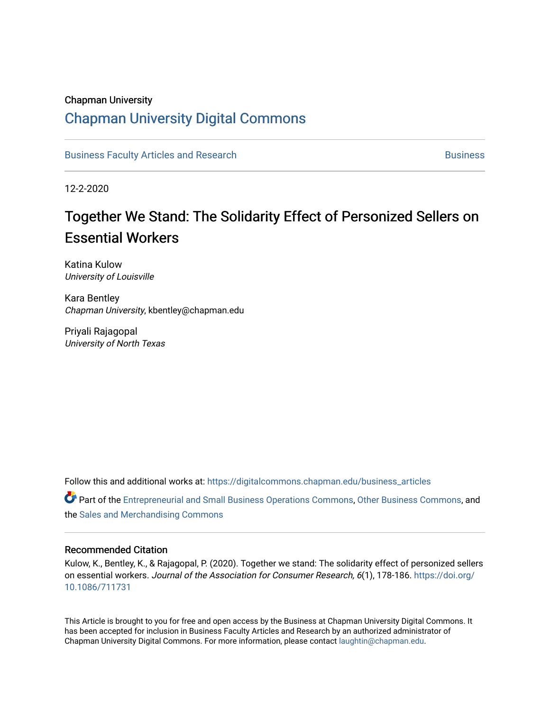## Chapman University

# [Chapman University Digital Commons](https://digitalcommons.chapman.edu/)

[Business Faculty Articles and Research](https://digitalcommons.chapman.edu/business_articles) [Business](https://digitalcommons.chapman.edu/business) **Business** Business

12-2-2020

# Together We Stand: The Solidarity Effect of Personized Sellers on Essential Workers

Katina Kulow University of Louisville

Kara Bentley Chapman University, kbentley@chapman.edu

Priyali Rajagopal University of North Texas

Follow this and additional works at: [https://digitalcommons.chapman.edu/business\\_articles](https://digitalcommons.chapman.edu/business_articles?utm_source=digitalcommons.chapman.edu%2Fbusiness_articles%2F108&utm_medium=PDF&utm_campaign=PDFCoverPages) 

Part of the [Entrepreneurial and Small Business Operations Commons,](http://network.bepress.com/hgg/discipline/630?utm_source=digitalcommons.chapman.edu%2Fbusiness_articles%2F108&utm_medium=PDF&utm_campaign=PDFCoverPages) [Other Business Commons,](http://network.bepress.com/hgg/discipline/647?utm_source=digitalcommons.chapman.edu%2Fbusiness_articles%2F108&utm_medium=PDF&utm_campaign=PDFCoverPages) and the [Sales and Merchandising Commons](http://network.bepress.com/hgg/discipline/646?utm_source=digitalcommons.chapman.edu%2Fbusiness_articles%2F108&utm_medium=PDF&utm_campaign=PDFCoverPages) 

### Recommended Citation

Kulow, K., Bentley, K., & Rajagopal, P. (2020). Together we stand: The solidarity effect of personized sellers on essential workers. Journal of the Association for Consumer Research, 6(1), 178-186. [https://doi.org/](https://doi.org/10.1086/711731) [10.1086/711731](https://doi.org/10.1086/711731)

This Article is brought to you for free and open access by the Business at Chapman University Digital Commons. It has been accepted for inclusion in Business Faculty Articles and Research by an authorized administrator of Chapman University Digital Commons. For more information, please contact [laughtin@chapman.edu](mailto:laughtin@chapman.edu).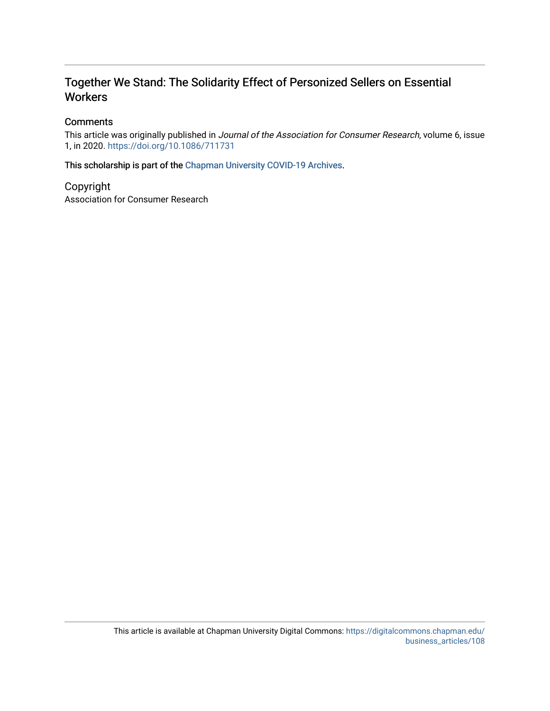# Together We Stand: The Solidarity Effect of Personized Sellers on Essential **Workers**

## **Comments**

This article was originally published in Journal of the Association for Consumer Research, volume 6, issue 1, in 2020. <https://doi.org/10.1086/711731>

This scholarship is part of the [Chapman University COVID-19 Archives](https://digitalcommons.chapman.edu/covid-19_archives/).

Copyright Association for Consumer Research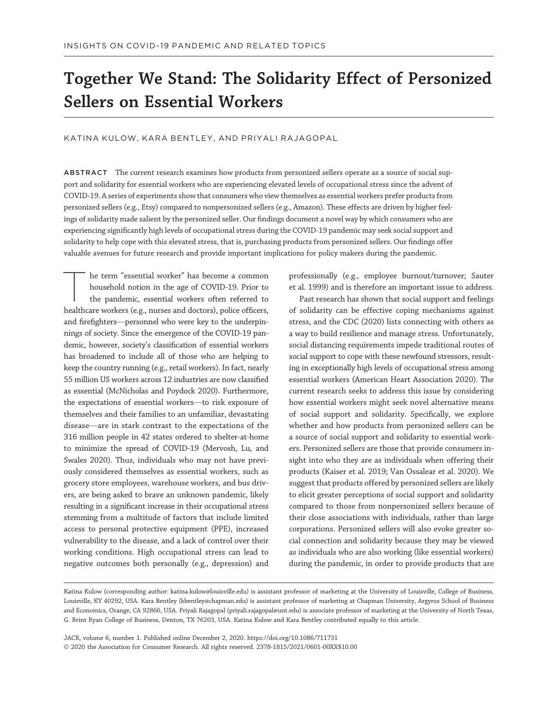# Together We Stand: The Solidarity Effect of Personized Sellers on Essential Workers

KATINA KULOW, KARA BENTLEY, AND PRIYALI RAJAGOPAL

ABSTRACT The current research examines how products from personized sellers operate as a source of social support and solidarity for essential workers who are experiencing elevated levels of occupational stress since the advent of COVID-19. A series of experiments show that consumers who view themselves as essential workers prefer products from personized sellers (e.g., Etsy) compared to nonpersonized sellers (e.g., Amazon). These effects are driven by higher feelings of solidarity made salient by the personized seller. Our findings document a novel way by which consumers who are experiencing significantly high levels of occupational stress during the COVID-19 pandemic may seek social support and solidarity to help cope with this elevated stress, that is, purchasing products from personized sellers. Our findings offer valuable avenues for future research and provide important implications for policy makers during the pandemic.

he term "essential worker" has become a common household notion in the age of COVID-19. Prior to the pandemic, essential workers often referred to healthcare workers (e.g., nurses and doctors), police officers, and firefighters—personnel who were key to the underpinnings of society. Since the emergence of the COVID-19 pandemic, however, society's classification of essential workers has broadened to include all of those who are helping to keep the country running (e.g., retail workers). In fact, nearly 55 million US workers across 12 industries are now classified as essential (McNicholas and Poydock 2020). Furthermore, the expectations of essential workers—to risk exposure of themselves and their families to an unfamiliar, devastating disease—are in stark contrast to the expectations of the 316 million people in 42 states ordered to shelter-at-home to minimize the spread of COVID-19 (Mervosh, Lu, and Swales 2020). Thus, individuals who may not have previously considered themselves as essential workers, such as grocery store employees, warehouse workers, and bus drivers, are being asked to brave an unknown pandemic, likely resulting in a significant increase in their occupational stress stemming from a multitude of factors that include limited access to personal protective equipment (PPE), increased vulnerability to the disease, and a lack of control over their working conditions. High occupational stress can lead to negative outcomes both personally (e.g., depression) and professionally (e.g., employee burnout/turnover; Sauter et al. 1999) and is therefore an important issue to address.

Past research has shown that social support and feelings of solidarity can be effective coping mechanisms against stress, and the CDC (2020) lists connecting with others as a way to build resilience and manage stress. Unfortunately, social distancing requirements impede traditional routes of social support to cope with these newfound stressors, resulting in exceptionally high levels of occupational stress among essential workers (American Heart Association 2020). The current research seeks to address this issue by considering how essential workers might seek novel alternative means of social support and solidarity. Specifically, we explore whether and how products from personized sellers can be a source of social support and solidarity to essential workers. Personized sellers are those that provide consumers insight into who they are as individuals when offering their products (Kaiser et al. 2019; Van Ossalear et al. 2020). We suggest that products offered by personized sellers are likely to elicit greater perceptions of social support and solidarity compared to those from nonpersonized sellers because of their close associations with individuals, rather than large corporations. Personized sellers will also evoke greater social connection and solidarity because they may be viewed as individuals who are also working (like essential workers) during the pandemic, in order to provide products that are

JACR, volume 6, number 1. Published online December 2, 2020. https://doi.org/10.1086/711731 © 2020 the Association for Consumer Research. All rights reserved. 2378-1815/2021/0601-00XX\$10.00

Katina Kulow (corresponding author: [katina.kulow@louisville.edu](mailto:katina.kulow@louisville.edu)) is assistant professor of marketing at the University of Louisville, College of Business, Louisville, KY 40292, USA. Kara Bentley [\(kbentley@chapman.edu](mailto:kbentley@chapman.edu)) is assistant professor of marketing at Chapman University, Argyros School of Business and Economics, Orange, CA 92866, USA. Priyali Rajagopal ([priyali.rajagopal@unt.edu\)](mailto:priyali.rajagopal@unt.edu) is associate professor of marketing at the University of North Texas, G. Brint Ryan College of Business, Denton, TX 76203, USA. Katina Kulow and Kara Bentley contributed equally to this article.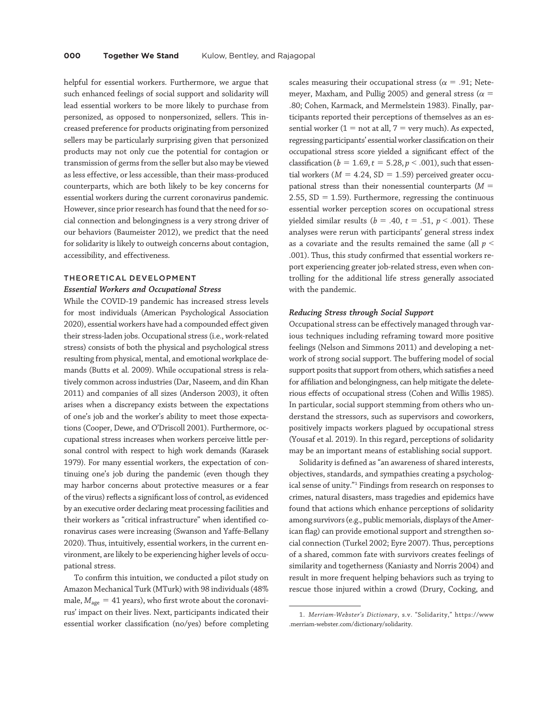helpful for essential workers. Furthermore, we argue that such enhanced feelings of social support and solidarity will lead essential workers to be more likely to purchase from personized, as opposed to nonpersonized, sellers. This increased preference for products originating from personized sellers may be particularly surprising given that personized products may not only cue the potential for contagion or transmission of germs from the seller but also may be viewed as less effective, or less accessible, than their mass-produced counterparts, which are both likely to be key concerns for essential workers during the current coronavirus pandemic. However, since prior research has found that the need for social connection and belongingness is a very strong driver of our behaviors (Baumeister 2012), we predict that the need for solidarity is likely to outweigh concerns about contagion, accessibility, and effectiveness.

#### THEORETICAL DEVELOPMENT

#### Essential Workers and Occupational Stress

While the COVID-19 pandemic has increased stress levels for most individuals (American Psychological Association 2020), essential workers have had a compounded effect given their stress-laden jobs. Occupational stress (i.e., work-related stress) consists of both the physical and psychological stress resulting from physical, mental, and emotional workplace demands (Butts et al. 2009). While occupational stress is relatively common across industries (Dar, Naseem, and din Khan 2011) and companies of all sizes (Anderson 2003), it often arises when a discrepancy exists between the expectations of one's job and the worker's ability to meet those expectations (Cooper, Dewe, and O'Driscoll 2001). Furthermore, occupational stress increases when workers perceive little personal control with respect to high work demands (Karasek 1979). For many essential workers, the expectation of continuing one's job during the pandemic (even though they may harbor concerns about protective measures or a fear of the virus) reflects a significant loss of control, as evidenced by an executive order declaring meat processing facilities and their workers as "critical infrastructure" when identified coronavirus cases were increasing (Swanson and Yaffe-Bellany 2020). Thus, intuitively, essential workers, in the current environment, are likely to be experiencing higher levels of occupational stress.

To confirm this intuition, we conducted a pilot study on Amazon Mechanical Turk (MTurk) with 98 individuals (48% male,  $M_{\text{age}} = 41$  years), who first wrote about the coronavirus' impact on their lives. Next, participants indicated their essential worker classification (no/yes) before completing

scales measuring their occupational stress ( $\alpha$  = .91; Netemeyer, Maxham, and Pullig 2005) and general stress ( $\alpha$  = :80; Cohen, Karmack, and Mermelstein 1983). Finally, participants reported their perceptions of themselves as an essential worker  $(1 = not at all, 7 = very much)$ . As expected, regressing participants' essential worker classification on their occupational stress score yielded a significant effect of the classification ( $b = 1.69$ ,  $t = 5.28$ ,  $p < .001$ ), such that essential workers ( $M = 4.24$ , SD = 1.59) perceived greater occupational stress than their nonessential counterparts ( $M =$ 2.55,  $SD = 1.59$ ). Furthermore, regressing the continuous essential worker perception scores on occupational stress yielded similar results ( $b = .40$ ,  $t = .51$ ,  $p < .001$ ). These analyses were rerun with participants' general stress index as a covariate and the results remained the same (all  $p <$ .001). Thus, this study confirmed that essential workers report experiencing greater job-related stress, even when controlling for the additional life stress generally associated with the pandemic.

#### Reducing Stress through Social Support

Occupational stress can be effectively managed through various techniques including reframing toward more positive feelings (Nelson and Simmons 2011) and developing a network of strong social support. The buffering model of social support posits that support from others, which satisfies a need for affiliation and belongingness, can help mitigate the deleterious effects of occupational stress (Cohen and Willis 1985). In particular, social support stemming from others who understand the stressors, such as supervisors and coworkers, positively impacts workers plagued by occupational stress (Yousaf et al. 2019). In this regard, perceptions of solidarity may be an important means of establishing social support.

Solidarity is defined as"an awareness of shared interests, objectives, standards, and sympathies creating a psychological sense of unity."<sup>1</sup> Findings from research on responses to crimes, natural disasters, mass tragedies and epidemics have found that actions which enhance perceptions of solidarity among survivors (e.g., public memorials, displays of the American flag) can provide emotional support and strengthen social connection (Turkel 2002; Eyre 2007). Thus, perceptions of a shared, common fate with survivors creates feelings of similarity and togetherness (Kaniasty and Norris 2004) and result in more frequent helping behaviors such as trying to rescue those injured within a crowd (Drury, Cocking, and

<sup>1.</sup> Merriam-Webster's Dictionary, s.v. "Solidarity," [https://www](https://www.merriam-webster.com/dictionary/solidarity) [.merriam-webster.com/dictionary/solidarity.](https://www.merriam-webster.com/dictionary/solidarity)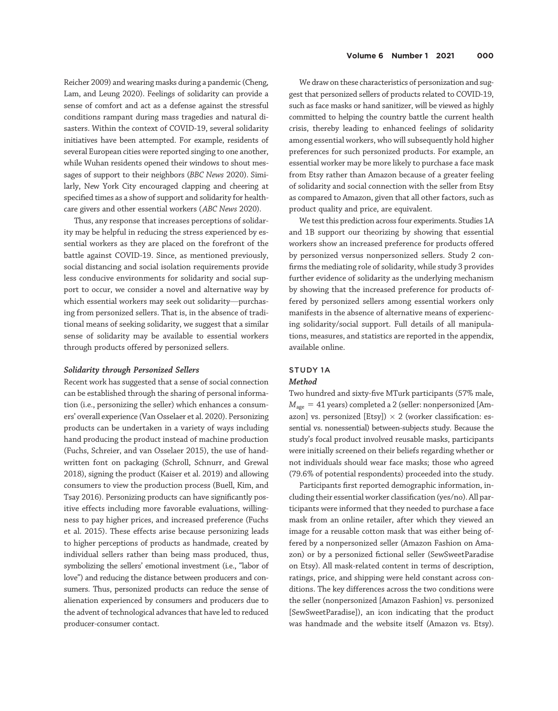Reicher 2009) and wearing masks during a pandemic (Cheng, Lam, and Leung 2020). Feelings of solidarity can provide a sense of comfort and act as a defense against the stressful conditions rampant during mass tragedies and natural disasters. Within the context of COVID-19, several solidarity initiatives have been attempted. For example, residents of several European cities were reported singing to one another, while Wuhan residents opened their windows to shout messages of support to their neighbors (BBC News 2020). Similarly, New York City encouraged clapping and cheering at specified times as a show of support and solidarity for healthcare givers and other essential workers (ABC News 2020).

Thus, any response that increases perceptions of solidarity may be helpful in reducing the stress experienced by essential workers as they are placed on the forefront of the battle against COVID-19. Since, as mentioned previously, social distancing and social isolation requirements provide less conducive environments for solidarity and social support to occur, we consider a novel and alternative way by which essential workers may seek out solidarity—purchasing from personized sellers. That is, in the absence of traditional means of seeking solidarity, we suggest that a similar sense of solidarity may be available to essential workers through products offered by personized sellers.

#### Solidarity through Personized Sellers

Recent work has suggested that a sense of social connection can be established through the sharing of personal information (i.e., personizing the seller) which enhances a consumers' overall experience (Van Osselaer et al. 2020). Personizing products can be undertaken in a variety of ways including hand producing the product instead of machine production (Fuchs, Schreier, and van Osselaer 2015), the use of handwritten font on packaging (Schroll, Schnurr, and Grewal 2018), signing the product (Kaiser et al. 2019) and allowing consumers to view the production process (Buell, Kim, and Tsay 2016). Personizing products can have significantly positive effects including more favorable evaluations, willingness to pay higher prices, and increased preference (Fuchs et al. 2015). These effects arise because personizing leads to higher perceptions of products as handmade, created by individual sellers rather than being mass produced, thus, symbolizing the sellers' emotional investment (i.e., "labor of love") and reducing the distance between producers and consumers. Thus, personized products can reduce the sense of alienation experienced by consumers and producers due to the advent of technological advances that have led to reduced producer-consumer contact.

We draw on these characteristics of personization and suggest that personized sellers of products related to COVID-19, such as face masks or hand sanitizer, will be viewed as highly committed to helping the country battle the current health crisis, thereby leading to enhanced feelings of solidarity among essential workers, who will subsequently hold higher preferences for such personized products. For example, an essential worker may be more likely to purchase a face mask from Etsy rather than Amazon because of a greater feeling of solidarity and social connection with the seller from Etsy as compared to Amazon, given that all other factors, such as product quality and price, are equivalent.

We test this prediction across four experiments. Studies 1A and 1B support our theorizing by showing that essential workers show an increased preference for products offered by personized versus nonpersonized sellers. Study 2 confirms the mediating role of solidarity, while study 3 provides further evidence of solidarity as the underlying mechanism by showing that the increased preference for products offered by personized sellers among essential workers only manifests in the absence of alternative means of experiencing solidarity/social support. Full details of all manipulations, measures, and statistics are reported in the appendix, available online.

# STUDY 1A

#### Method

Two hundred and sixty-five MTurk participants (57% male,  $M_{\text{age}} = 41$  years) completed a 2 (seller: nonpersonized [Amazon] vs. personized [Etsy])  $\times$  2 (worker classification: essential vs. nonessential) between-subjects study. Because the study's focal product involved reusable masks, participants were initially screened on their beliefs regarding whether or not individuals should wear face masks; those who agreed (79.6% of potential respondents) proceeded into the study.

Participants first reported demographic information, including their essential worker classification (yes/no). All participants were informed that they needed to purchase a face mask from an online retailer, after which they viewed an image for a reusable cotton mask that was either being offered by a nonpersonized seller (Amazon Fashion on Amazon) or by a personized fictional seller (SewSweetParadise on Etsy). All mask-related content in terms of description, ratings, price, and shipping were held constant across conditions. The key differences across the two conditions were the seller (nonpersonized [Amazon Fashion] vs. personized [SewSweetParadise]), an icon indicating that the product was handmade and the website itself (Amazon vs. Etsy).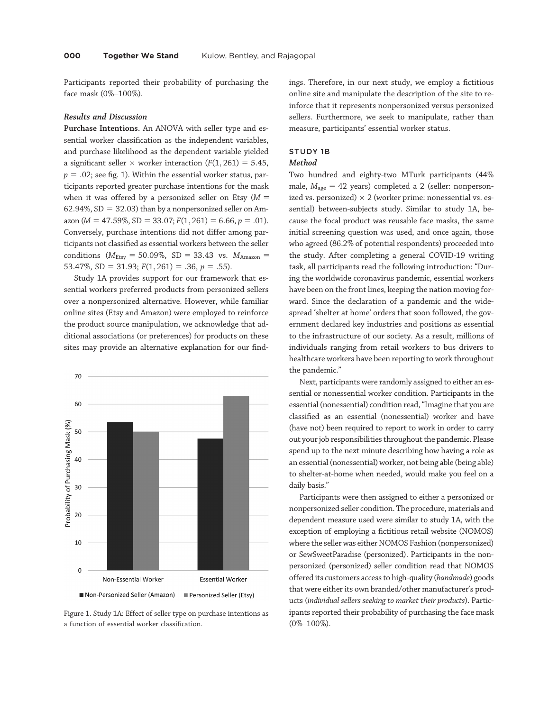Participants reported their probability of purchasing the face mask (0%–100%).

#### Results and Discussion

Purchase Intentions. An ANOVA with seller type and essential worker classification as the independent variables, and purchase likelihood as the dependent variable yielded a significant seller  $\times$  worker interaction ( $F(1, 261) = 5.45$ ,  $p = 0.02$ ; see fig. 1). Within the essential worker status, participants reported greater purchase intentions for the mask when it was offered by a personized seller on Etsy ( $M =$ 62.94%,  $SD = 32.03$ ) than by a nonpersonized seller on Amazon ( $M = 47.59\%$ , SD = 33.07;  $F(1, 261) = 6.66$ ,  $p = .01$ ). Conversely, purchase intentions did not differ among participants not classified as essential workers between the seller conditions ( $M_{\text{Etsy}} = 50.09\%$ , SD = 33.43 vs.  $M_{\text{Amaxon}} =$ 53.47%, SD = 31.93;  $F(1, 261) = .36$ ,  $p = .55$ ).

Study 1A provides support for our framework that essential workers preferred products from personized sellers over a nonpersonized alternative. However, while familiar online sites (Etsy and Amazon) were employed to reinforce the product source manipulation, we acknowledge that additional associations (or preferences) for products on these sites may provide an alternative explanation for our find-



Figure 1. Study 1A: Effect of seller type on purchase intentions as a function of essential worker classification.

ings. Therefore, in our next study, we employ a fictitious online site and manipulate the description of the site to reinforce that it represents nonpersonized versus personized sellers. Furthermore, we seek to manipulate, rather than measure, participants' essential worker status.

#### STUDY 1B

#### Method

Two hundred and eighty-two MTurk participants (44% male,  $M_{\text{age}} = 42$  years) completed a 2 (seller: nonpersonized vs. personized)  $\times$  2 (worker prime: nonessential vs. essential) between-subjects study. Similar to study 1A, because the focal product was reusable face masks, the same initial screening question was used, and once again, those who agreed (86.2% of potential respondents) proceeded into the study. After completing a general COVID-19 writing task, all participants read the following introduction: "During the worldwide coronavirus pandemic, essential workers have been on the front lines, keeping the nation moving forward. Since the declaration of a pandemic and the widespread 'shelter at home' orders that soon followed, the government declared key industries and positions as essential to the infrastructure of our society. As a result, millions of individuals ranging from retail workers to bus drivers to healthcare workers have been reporting to work throughout the pandemic."

Next, participants were randomly assigned to either an essential or nonessential worker condition. Participants in the essential (nonessential) condition read,"Imagine that you are classified as an essential (nonessential) worker and have (have not) been required to report to work in order to carry out your job responsibilities throughout the pandemic. Please spend up to the next minute describing how having a role as an essential (nonessential) worker, not being able (being able) to shelter-at-home when needed, would make you feel on a daily basis."

Participants were then assigned to either a personized or nonpersonized seller condition. The procedure, materials and dependent measure used were similar to study 1A, with the exception of employing a fictitious retail website (NOMOS) where the seller was either NOMOS Fashion (nonpersonized) or SewSweetParadise (personized). Participants in the nonpersonized (personized) seller condition read that NOMOS offered its customers access to high-quality (handmade) goods that were either its own branded/other manufacturer's products (individual sellers seeking to market their products). Participants reported their probability of purchasing the face mask (0%–100%).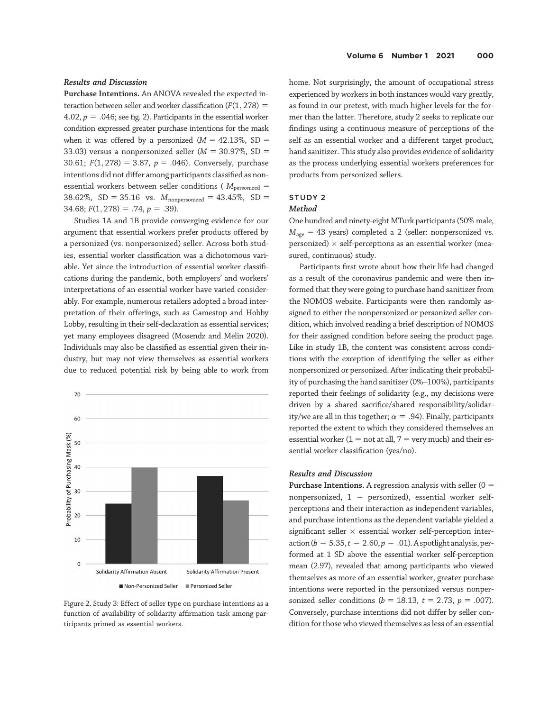#### Results and Discussion

Purchase Intentions. An ANOVA revealed the expected interaction between seller and worker classification  $(F(1, 278)) =$ 4.02,  $p = .046$ ; see fig. 2). Participants in the essential worker condition expressed greater purchase intentions for the mask when it was offered by a personized ( $M = 42.13\%$ , SD = 33.03) versus a nonpersonized seller ( $M = 30.97\%$ , SD = 30.61;  $F(1, 278) = 3.87$ ,  $p = .046$ ). Conversely, purchase intentions did not differ among participants classified as nonessential workers between seller conditions ( $M_{\text{personalized}} =$ 38.62%, SD = 35.16 vs.  $M_{nonpersonal} = 43.45\%$ , SD =  $34.68; F(1, 278) = .74, p = .39$ .

Studies 1A and 1B provide converging evidence for our argument that essential workers prefer products offered by a personized (vs. nonpersonized) seller. Across both studies, essential worker classification was a dichotomous variable. Yet since the introduction of essential worker classifications during the pandemic, both employers' and workers' interpretations of an essential worker have varied considerably. For example, numerous retailers adopted a broad interpretation of their offerings, such as Gamestop and Hobby Lobby, resulting in their self-declaration as essential services; yet many employees disagreed (Mosendz and Melin 2020). Individuals may also be classified as essential given their industry, but may not view themselves as essential workers due to reduced potential risk by being able to work from



Figure 2. Study 3: Effect of seller type on purchase intentions as a function of availability of solidarity affirmation task among participants primed as essential workers.

home. Not surprisingly, the amount of occupational stress experienced by workers in both instances would vary greatly, as found in our pretest, with much higher levels for the former than the latter. Therefore, study 2 seeks to replicate our findings using a continuous measure of perceptions of the self as an essential worker and a different target product, hand sanitizer. This study also provides evidence of solidarity as the process underlying essential workers preferences for products from personized sellers.

#### STUDY 2

#### Method

One hundred and ninety-eight MTurk participants (50% male,  $M_{\text{age}} = 43$  years) completed a 2 (seller: nonpersonized vs. personized)  $\times$  self-perceptions as an essential worker (measured, continuous) study.

Participants first wrote about how their life had changed as a result of the coronavirus pandemic and were then informed that they were going to purchase hand sanitizer from the NOMOS website. Participants were then randomly assigned to either the nonpersonized or personized seller condition, which involved reading a brief description of NOMOS for their assigned condition before seeing the product page. Like in study 1B, the content was consistent across conditions with the exception of identifying the seller as either nonpersonized or personized. After indicating their probability of purchasing the hand sanitizer (0%–100%), participants reported their feelings of solidarity (e.g., my decisions were driven by a shared sacrifice/shared responsibility/solidarity/we are all in this together;  $\alpha = .94$ ). Finally, participants reported the extent to which they considered themselves an essential worker ( $1 = not$  at all,  $7 = very$  much) and their essential worker classification (yes/no).

### Results and Discussion

**Purchase Intentions.** A regression analysis with seller  $(0 =$ nonpersonized,  $1 =$  personized), essential worker selfperceptions and their interaction as independent variables, and purchase intentions as the dependent variable yielded a significant seller  $\times$  essential worker self-perception interaction ( $b = 5.35, t = 2.60, p = .01$ ). A spotlight analysis, performed at 1 SD above the essential worker self-perception mean (2.97), revealed that among participants who viewed themselves as more of an essential worker, greater purchase intentions were reported in the personized versus nonpersonized seller conditions ( $b = 18.13$ ,  $t = 2.73$ ,  $p = .007$ ). Conversely, purchase intentions did not differ by seller condition for those who viewed themselves as less of an essential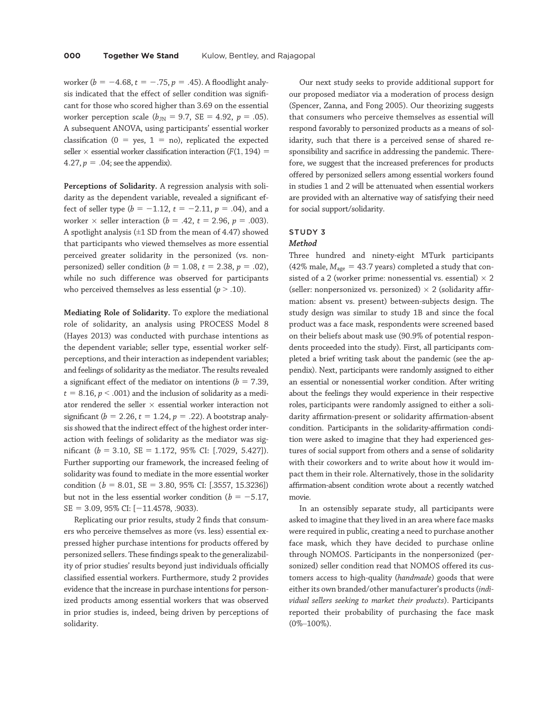worker ( $b = -4.68$ ,  $t = -.75$ ,  $p = .45$ ). A floodlight analysis indicated that the effect of seller condition was significant for those who scored higher than 3.69 on the essential worker perception scale ( $b_{\text{JN}} = 9.7$ , SE = 4.92, p = .05). A subsequent ANOVA, using participants' essential worker classification ( $0 = yes, 1 = no$ ), replicated the expected seller  $\times$  essential worker classification interaction ( $F(1, 194) =$ 4.27,  $p = .04$ ; see the appendix).

Perceptions of Solidarity. A regression analysis with solidarity as the dependent variable, revealed a significant effect of seller type ( $b = -1.12$ ,  $t = -2.11$ ,  $p = .04$ ), and a worker  $\times$  seller interaction ( $b = .42$ ,  $t = 2.96$ ,  $p = .003$ ). A spotlight analysis  $(\pm 1$  SD from the mean of 4.47) showed that participants who viewed themselves as more essential perceived greater solidarity in the personized (vs. nonpersonized) seller condition ( $b = 1.08$ ,  $t = 2.38$ ,  $p = .02$ ), while no such difference was observed for participants who perceived themselves as less essential ( $p > .10$ ).

Mediating Role of Solidarity. To explore the mediational role of solidarity, an analysis using PROCESS Model 8 (Hayes 2013) was conducted with purchase intentions as the dependent variable; seller type, essential worker selfperceptions, and their interaction as independent variables; and feelings of solidarity as the mediator. The results revealed a significant effect of the mediator on intentions ( $b = 7.39$ ,  $t = 8.16$ ,  $p < .001$ ) and the inclusion of solidarity as a mediator rendered the seller  $\times$  essential worker interaction not significant ( $b = 2.26$ ,  $t = 1.24$ ,  $p = .22$ ). A bootstrap analysis showed that the indirect effect of the highest order interaction with feelings of solidarity as the mediator was significant ( $b = 3.10$ , SE = 1.172, 95% CI: [.7029, 5.427]). Further supporting our framework, the increased feeling of solidarity was found to mediate in the more essential worker condition ( $b = 8.01$ , SE = 3.80, 95% CI: [.3557, 15.3236]) but not in the less essential worker condition ( $b = -5.17$ ,  $SE = 3.09, 95\%$  CI:  $[-11.4578, .9033)$ .

Replicating our prior results, study 2 finds that consumers who perceive themselves as more (vs. less) essential expressed higher purchase intentions for products offered by personized sellers. These findings speak to the generalizability of prior studies' results beyond just individuals officially classified essential workers. Furthermore, study 2 provides evidence that the increase in purchase intentions for personized products among essential workers that was observed in prior studies is, indeed, being driven by perceptions of solidarity.

Our next study seeks to provide additional support for our proposed mediator via a moderation of process design (Spencer, Zanna, and Fong 2005). Our theorizing suggests that consumers who perceive themselves as essential will respond favorably to personized products as a means of solidarity, such that there is a perceived sense of shared responsibility and sacrifice in addressing the pandemic. Therefore, we suggest that the increased preferences for products offered by personized sellers among essential workers found in studies 1 and 2 will be attenuated when essential workers are provided with an alternative way of satisfying their need for social support/solidarity.

## STUDY 3

#### Method

Three hundred and ninety-eight MTurk participants (42% male,  $M_{\text{age}} = 43.7$  years) completed a study that consisted of a 2 (worker prime: nonessential vs. essential)  $\times$  2 (seller: nonpersonized vs. personized)  $\times$  2 (solidarity affirmation: absent vs. present) between-subjects design. The study design was similar to study 1B and since the focal product was a face mask, respondents were screened based on their beliefs about mask use (90.9% of potential respondents proceeded into the study). First, all participants completed a brief writing task about the pandemic (see the appendix). Next, participants were randomly assigned to either an essential or nonessential worker condition. After writing about the feelings they would experience in their respective roles, participants were randomly assigned to either a solidarity affirmation-present or solidarity affirmation-absent condition. Participants in the solidarity-affirmation condition were asked to imagine that they had experienced gestures of social support from others and a sense of solidarity with their coworkers and to write about how it would impact them in their role. Alternatively, those in the solidarity affirmation-absent condition wrote about a recently watched movie.

In an ostensibly separate study, all participants were asked to imagine that they lived in an area where face masks were required in public, creating a need to purchase another face mask, which they have decided to purchase online through NOMOS. Participants in the nonpersonized (personized) seller condition read that NOMOS offered its customers access to high-quality (handmade) goods that were either its own branded/other manufacturer's products (individual sellers seeking to market their products). Participants reported their probability of purchasing the face mask (0%–100%).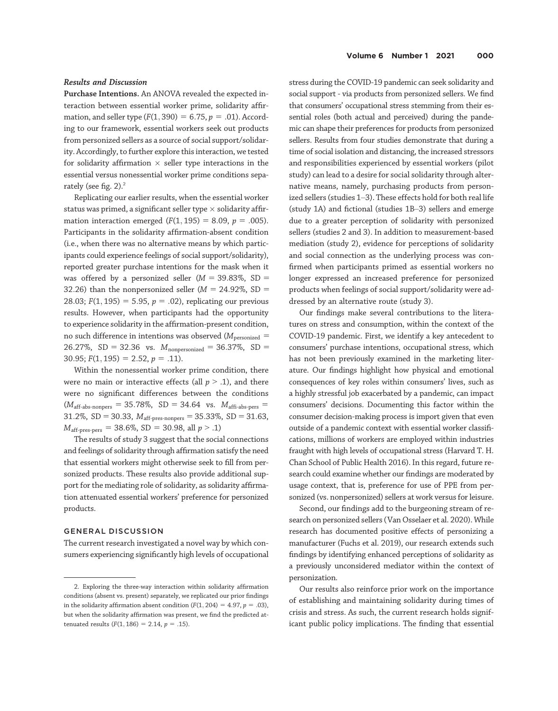#### Results and Discussion

Purchase Intentions. An ANOVA revealed the expected interaction between essential worker prime, solidarity affirmation, and seller type ( $F(1, 390) = 6.75$ ,  $p = .01$ ). According to our framework, essential workers seek out products from personized sellers as a source of social support/solidarity. Accordingly, to further explore this interaction, we tested for solidarity affirmation  $\times$  seller type interactions in the essential versus nonessential worker prime conditions separately (see fig. 2).<sup>2</sup>

Replicating our earlier results, when the essential worker status was primed, a significant seller type  $\times$  solidarity affirmation interaction emerged  $(F(1, 195) = 8.09, p = .005)$ . Participants in the solidarity affirmation-absent condition (i.e., when there was no alternative means by which participants could experience feelings of social support/solidarity), reported greater purchase intentions for the mask when it was offered by a personized seller ( $M = 39.83\%$ , SD = 32.26) than the nonpersonized seller ( $M = 24.92\%$ , SD = 28.03;  $F(1, 195) = 5.95$ ,  $p = .02$ ), replicating our previous results. However, when participants had the opportunity to experience solidarity in the affirmation-present condition, no such difference in intentions was observed ( $M_{\text{personalized}} =$ 26.27%, SD = 32.36 vs.  $M_{nonpersonal} = 36.37\%$ , SD = 30.95;  $F(1, 195) = 2.52$ ,  $p = .11$ ).

Within the nonessential worker prime condition, there were no main or interactive effects (all  $p > .1$ ), and there were no significant differences between the conditions  $(M<sub>aff-abs-nonpers</sub> = 35.78\%, SD = 34.64$  vs.  $M<sub>affi-abs-pres</sub> =$ 31.2%, SD = 30.33,  $M_{\text{aff-pres-nonpers}} = 35.33\%$ , SD = 31.63,  $M_{\text{aff-pres-pers}} = 38.6\%, SD = 30.98, all p > .1$ )

The results of study 3 suggest that the social connections and feelings of solidarity through affirmation satisfy the need that essential workers might otherwise seek to fill from personized products. These results also provide additional support for the mediating role of solidarity, as solidarity affirmation attenuated essential workers' preference for personized products.

#### GENERAL DISCUSSION

The current research investigated a novel way by which consumers experiencing significantly high levels of occupational

stress during the COVID-19 pandemic can seek solidarity and social support - via products from personized sellers. We find that consumers' occupational stress stemming from their essential roles (both actual and perceived) during the pandemic can shape their preferences for products from personized sellers. Results from four studies demonstrate that during a time of social isolation and distancing, the increased stressors and responsibilities experienced by essential workers (pilot study) can lead to a desire for social solidarity through alternative means, namely, purchasing products from personized sellers (studies 1–3). These effects hold for both real life (study 1A) and fictional (studies 1B–3) sellers and emerge due to a greater perception of solidarity with personized sellers (studies 2 and 3). In addition to measurement-based mediation (study 2), evidence for perceptions of solidarity and social connection as the underlying process was confirmed when participants primed as essential workers no longer expressed an increased preference for personized products when feelings of social support/solidarity were addressed by an alternative route (study 3).

Our findings make several contributions to the literatures on stress and consumption, within the context of the COVID-19 pandemic. First, we identify a key antecedent to consumers' purchase intentions, occupational stress, which has not been previously examined in the marketing literature. Our findings highlight how physical and emotional consequences of key roles within consumers' lives, such as a highly stressful job exacerbated by a pandemic, can impact consumers' decisions. Documenting this factor within the consumer decision-making process is import given that even outside of a pandemic context with essential worker classifications, millions of workers are employed within industries fraught with high levels of occupational stress (Harvard T. H. Chan School of Public Health 2016). In this regard, future research could examine whether our findings are moderated by usage context, that is, preference for use of PPE from personized (vs. nonpersonized) sellers at work versus for leisure.

Second, our findings add to the burgeoning stream of research on personized sellers (Van Osselaer et al. 2020). While research has documented positive effects of personizing a manufacturer (Fuchs et al. 2019), our research extends such findings by identifying enhanced perceptions of solidarity as a previously unconsidered mediator within the context of personization.

Our results also reinforce prior work on the importance of establishing and maintaining solidarity during times of crisis and stress. As such, the current research holds significant public policy implications. The finding that essential

<sup>2.</sup> Exploring the three-way interaction within solidarity affirmation conditions (absent vs. present) separately, we replicated our prior findings in the solidarity affirmation absent condition ( $F(1, 204) = 4.97$ ,  $p = .03$ ), but when the solidarity affirmation was present, we find the predicted attenuated results  $(F(1, 186) = 2.14, p = .15)$ .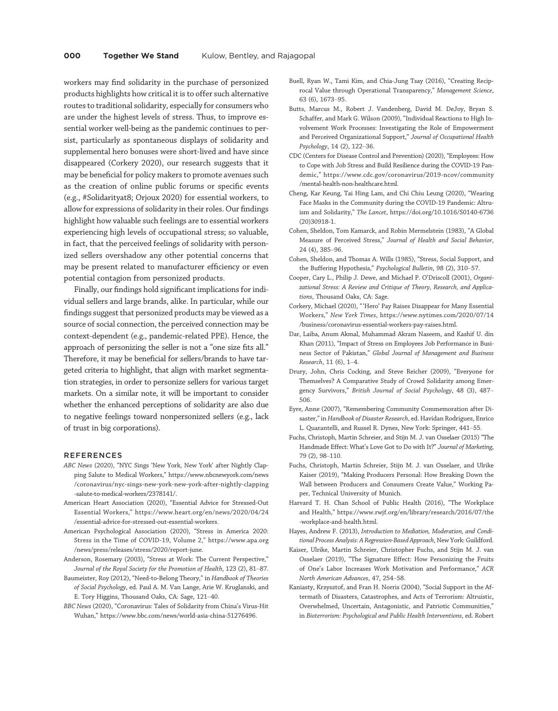workers may find solidarity in the purchase of personized products highlights how critical it is to offer such alternative routes to traditional solidarity, especially for consumers who are under the highest levels of stress. Thus, to improve essential worker well-being as the pandemic continues to persist, particularly as spontaneous displays of solidarity and supplemental hero bonuses were short-lived and have since disappeared (Corkery 2020), our research suggests that it may be beneficial for policy makers to promote avenues such as the creation of online public forums or specific events (e.g., #Solidarityat8; Orjoux 2020) for essential workers, to allow for expressions of solidarity in their roles. Our findings highlight how valuable such feelings are to essential workers experiencing high levels of occupational stress; so valuable, in fact, that the perceived feelings of solidarity with personized sellers overshadow any other potential concerns that may be present related to manufacturer efficiency or even potential contagion from personized products.

Finally, our findings hold significant implications for individual sellers and large brands, alike. In particular, while our findings suggest that personized products may be viewed as a source of social connection, the perceived connection may be context-dependent (e.g., pandemic-related PPE). Hence, the approach of personizing the seller is not a "one size fits all." Therefore, it may be beneficial for sellers/brands to have targeted criteria to highlight, that align with market segmentation strategies, in order to personize sellers for various target markets. On a similar note, it will be important to consider whether the enhanced perceptions of solidarity are also due to negative feelings toward nonpersonized sellers (e.g., lack of trust in big corporations).

#### **REFERENCES**

- ABC News (2020), "NYC Sings 'New York, New York' after Nightly Clapping Salute to Medical Workers," [https://www.nbcnewyork.com/news](https://www.nbcnewyork.com/news/coronavirus/nyc-sings-new-york-new-york-after-nightly-clapping-salute-to-medical-workers/2378141/) [/coronavirus/nyc-sings-new-york-new-york-after-nightly-clapping](https://www.nbcnewyork.com/news/coronavirus/nyc-sings-new-york-new-york-after-nightly-clapping-salute-to-medical-workers/2378141/) [-salute-to-medical-workers/2378141/.](https://www.nbcnewyork.com/news/coronavirus/nyc-sings-new-york-new-york-after-nightly-clapping-salute-to-medical-workers/2378141/)
- American Heart Association (2020), "Essential Advice for Stressed-Out Essential Workers," [https://www.heart.org/en/news/2020/04/24](https://www.heart.org/en/news/2020/04/24/essential-advice-for-stressed-out-essential-workers) [/essential-advice-for-stressed-out-essential-workers.](https://www.heart.org/en/news/2020/04/24/essential-advice-for-stressed-out-essential-workers)
- American Psychological Association (2020), "Stress in America 2020: Stress in the Time of COVID-19, Volume 2," [https://www.apa.org](https://www.apa.org/news/press/releases/stress/2020/report-june) [/news/press/releases/stress/2020/report-june.](https://www.apa.org/news/press/releases/stress/2020/report-june)
- Anderson, Rosemary (2003), "Stress at Work: The Current Perspective," Journal of the Royal Society for the Promotion of Health, 123 (2), 81–87.
- Baumeister, Roy (2012), "Need-to-Belong Theory," in Handbook of Theories of Social Psychology, ed. Paul A. M. Van Lange, Arie W. Kruglanski, and E. Tory Higgins, Thousand Oaks, CA: Sage, 121–40.
- BBC News (2020), "Coronavirus: Tales of Solidarity from China's Virus-Hit Wuhan," [https://www.bbc.com/news/world-asia-china-51276496.](https://www.bbc.com/news/world-asia-china-51276496)
- Buell, Ryan W., Tami Kim, and Chia-Jung Tsay (2016), "Creating Reciprocal Value through Operational Transparency," Management Science, 63 (6), 1673–95.
- Butts, Marcus M., Robert J. Vandenberg, David M. DeJoy, Bryan S. Schaffer, and Mark G. Wilson (2009), "Individual Reactions to High Involvement Work Processes: Investigating the Role of Empowerment and Perceived Organizational Support," Journal of Occupational Health Psychology, 14 (2), 122–36.
- CDC (Centers for Disease Control and Prevention) (2020), "Employees: How to Cope with Job Stress and Build Resilience during the COVID-19 Pandemic," [https://www.cdc.gov/coronavirus/2019-ncov/community](https://www.cdc.gov/coronavirus/2019-ncov/community/mental-health-non-healthcare.html) [/mental-health-non-healthcare.html.](https://www.cdc.gov/coronavirus/2019-ncov/community/mental-health-non-healthcare.html)
- Cheng, Kar Keung, Tai Hing Lam, and Chi Chiu Leung (2020), "Wearing Face Masks in the Community during the COVID-19 Pandemic: Altruism and Solidarity," The Lancet, [https://doi.org/10.1016/S0140-6736](https://doi.org/10.1016/S0140-6736(20)30918-1) [\(20\)30918-1.](https://doi.org/10.1016/S0140-6736(20)30918-1)
- Cohen, Sheldon, Tom Kamarck, and Robin Mermelstein (1983), "A Global Measure of Perceived Stress," Journal of Health and Social Behavior, 24 (4), 385–96.
- Cohen, Sheldon, and Thomas A. Wills (1985), "Stress, Social Support, and the Buffering Hypothesis," Psychological Bulletin, 98 (2), 310–57.
- Cooper, Cary L., Philip J. Dewe, and Michael P. O'Driscoll (2001), Organizational Stress: A Review and Critique of Theory, Research, and Applications, Thousand Oaks, CA: Sage.
- Corkery, Michael (2020), " 'Hero' Pay Raises Disappear for Many Essential Workers," New York Times, [https://www.nytimes.com/2020/07/14](https://www.nytimes.com/2020/07/14/business/coronavirus-essential-workers-pay-raises.html) [/business/coronavirus-essential-workers-pay-raises.html.](https://www.nytimes.com/2020/07/14/business/coronavirus-essential-workers-pay-raises.html)
- Dar, Laiba, Anum Akmal, Muhammad Akram Naseem, and Kashif U. din Khan (2011), "Impact of Stress on Employees Job Performance in Business Sector of Pakistan," Global Journal of Management and Business Research, 11 (6), 1–4.
- Drury, John, Chris Cocking, and Steve Reicher (2009), "Everyone for Themselves? A Comparative Study of Crowd Solidarity among Emergency Survivors," British Journal of Social Psychology, 48 (3), 487– 506.
- Eyre, Anne (2007), "Remembering Community Commemoration after Disaster," in Handbook of Disaster Research, ed. Havidan Rodriguez, Enrico L. Quarantelli, and Russel R. Dynes, New York: Springer, 441–55.
- Fuchs, Christoph, Martin Schreier, and Stijn M. J. van Osselaer (2015) "The Handmade Effect: What's Love Got to Do with It?" Journal of Marketing, 79 (2), 98–110.
- Fuchs, Christoph, Martin Schreier, Stijn M. J. van Osselaer, and Ulrike Kaiser (2019), "Making Producers Personal: How Breaking Down the Wall between Producers and Consumers Create Value," Working Paper, Technical University of Munich.
- Harvard T. H. Chan School of Public Health (2016), "The Workplace and Health," [https://www.rwjf.org/en/library/research/2016/07/the](https://www.rwjf.org/en/library/research/2016/07/the-workplace-and-health.html) [-workplace-and-health.html](https://www.rwjf.org/en/library/research/2016/07/the-workplace-and-health.html).
- Hayes, Andrew F. (2013), Introduction to Mediation, Moderation, and Conditional Process Analysis: A Regression-Based Approach, New York: Guildford.
- Kaiser, Ulrike, Martin Schreier, Christopher Fuchs, and Stijn M. J. van Osselaer (2019), "The Signature Effect: How Personizing the Fruits of One's Labor Increases Work Motivation and Performance," ACR North American Advances, 47, 254–58.
- Kaniasty, Krzysztof, and Fran H. Norris (2004), "Social Support in the Aftermath of Disasters, Catastrophes, and Acts of Terrorism: Altruistic, Overwhelmed, Uncertain, Antagonistic, and Patriotic Communities," in Bioterrorism: Psychological and Public Health Interventions, ed. Robert